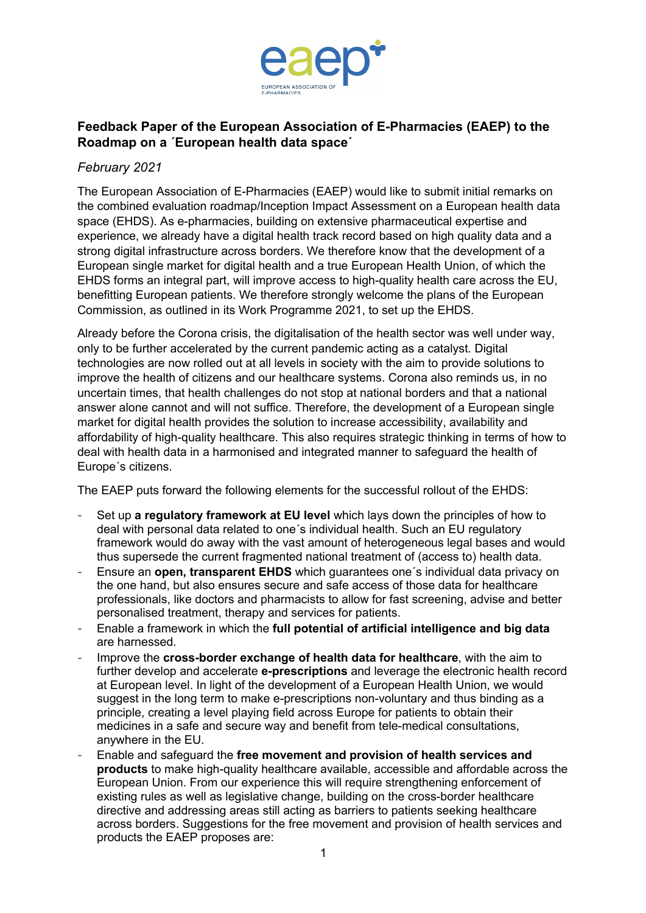

## **Feedback Paper of the European Association of E-Pharmacies (EAEP) to the Roadmap on a ´European health data space´**

## *February 2021*

The European Association of E-Pharmacies (EAEP) would like to submit initial remarks on the combined evaluation roadmap/Inception Impact Assessment on a European health data space (EHDS). As e-pharmacies, building on extensive pharmaceutical expertise and experience, we already have a digital health track record based on high quality data and a strong digital infrastructure across borders. We therefore know that the development of a European single market for digital health and a true European Health Union, of which the EHDS forms an integral part, will improve access to high-quality health care across the EU, benefitting European patients. We therefore strongly welcome the plans of the European Commission, as outlined in its Work Programme 2021, to set up the EHDS.

Already before the Corona crisis, the digitalisation of the health sector was well under way, only to be further accelerated by the current pandemic acting as a catalyst. Digital technologies are now rolled out at all levels in society with the aim to provide solutions to improve the health of citizens and our healthcare systems. Corona also reminds us, in no uncertain times, that health challenges do not stop at national borders and that a national answer alone cannot and will not suffice. Therefore, the development of a European single market for digital health provides the solution to increase accessibility, availability and affordability of high-quality healthcare. This also requires strategic thinking in terms of how to deal with health data in a harmonised and integrated manner to safeguard the health of Europe´s citizens.

The EAEP puts forward the following elements for the successful rollout of the EHDS:

- Set up **a regulatory framework at EU level** which lays down the principles of how to deal with personal data related to one´s individual health. Such an EU regulatory framework would do away with the vast amount of heterogeneous legal bases and would thus supersede the current fragmented national treatment of (access to) health data.
- Ensure an **open, transparent EHDS** which guarantees one´s individual data privacy on the one hand, but also ensures secure and safe access of those data for healthcare professionals, like doctors and pharmacists to allow for fast screening, advise and better personalised treatment, therapy and services for patients.
- Enable a framework in which the **full potential of artificial intelligence and big data** are harnessed.
- Improve the **cross-border exchange of health data for healthcare**, with the aim to further develop and accelerate **e-prescriptions** and leverage the electronic health record at European level. In light of the development of a European Health Union, we would suggest in the long term to make e-prescriptions non-voluntary and thus binding as a principle, creating a level playing field across Europe for patients to obtain their medicines in a safe and secure way and benefit from tele-medical consultations, anywhere in the EU.
- Enable and safeguard the **free movement and provision of health services and products** to make high-quality healthcare available, accessible and affordable across the European Union. From our experience this will require strengthening enforcement of existing rules as well as legislative change, building on the cross-border healthcare directive and addressing areas still acting as barriers to patients seeking healthcare across borders. Suggestions for the free movement and provision of health services and products the EAEP proposes are: